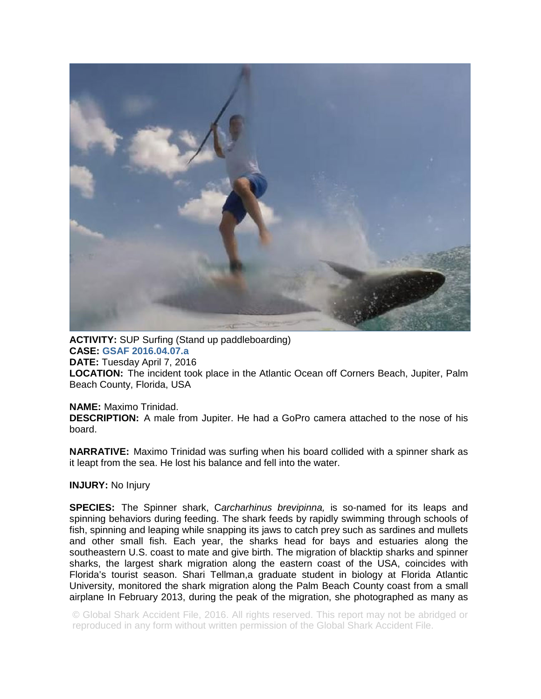

**ACTIVITY:** SUP Surfing (Stand up paddleboarding) **CASE: GSAF 2016.04.07.a**

**DATE:** Tuesday April 7, 2016

**LOCATION:** The incident took place in the Atlantic Ocean off Corners Beach, Jupiter, Palm Beach County, Florida, USA

## **NAME:** Maximo Trinidad.

**DESCRIPTION:** A male from Jupiter. He had a GoPro camera attached to the nose of his board.

**NARRATIVE:** Maximo Trinidad was surfing when his board collided with a spinner shark as it leapt from the sea. He lost his balance and fell into the water.

**INJURY:** No Injury

**SPECIES:** The Spinner shark, C*archarhinus brevipinna,* is so-named for its leaps and spinning behaviors during feeding. The shark feeds by rapidly swimming through schools of fish, spinning and leaping while snapping its jaws to catch prey such as sardines and mullets and other small fish. Each year, the sharks head for bays and estuaries along the southeastern U.S. coast to mate and give birth. The migration of blacktip sharks and spinner sharks, the largest shark migration along the eastern coast of the USA, coincides with Florida's tourist season. Shari Tellman,a graduate student in biology at Florida Atlantic University, monitored the shark migration along the Palm Beach County coast from a small airplane In February 2013, during the peak of the migration, she photographed as many as

© Global Shark Accident File, 2016. All rights reserved. This report may not be abridged or reproduced in any form without written permission of the Global Shark Accident File.